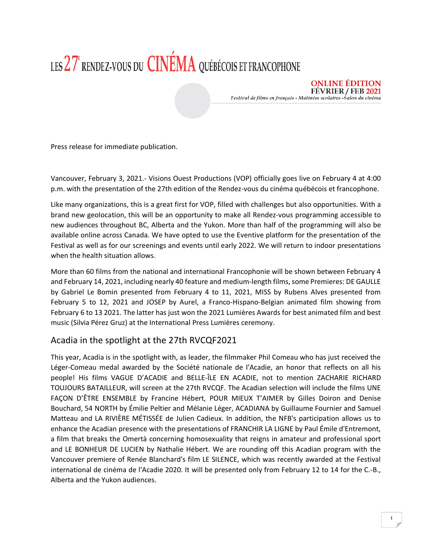## LES 27<sup>e</sup> RENDEZ-VOUS DU **CINÉMA** QUÉBÉCOIS ET FRANCOPHONE

**ONLINE EDITION FÉVRIER / FEB 2021** Festival de films en français - Matinées scolaires -Salon du cinéma

Press release for immediate publication.

Vancouver, February 3, 2021.- Visions Ouest Productions (VOP) officially goes live on February 4 at 4:00 p.m. with the presentation of the 27th edition of the Rendez-vous du cinéma québécois et francophone.

Like many organizations, this is a great first for VOP, filled with challenges but also opportunities. With a brand new geolocation, this will be an opportunity to make all Rendez-vous programming accessible to new audiences throughout BC, Alberta and the Yukon. More than half of the programming will also be available online across Canada. We have opted to use the Eventive platform for the presentation of the Festival as well as for our screenings and events until early 2022. We will return to indoor presentations when the health situation allows.

More than 60 films from the national and international Francophonie will be shown between February 4 and February 14, 2021, including nearly 40 feature and medium-length films, some Premieres: DE GAULLE by Gabriel Le Bomin presented from February 4 to 11, 2021, MISS by Rubens Alves presented from February 5 to 12, 2021 and JOSEP by Aurel, a Franco-Hispano-Belgian animated film showing from February 6 to 13 2021. The latter has just won the 2021 Lumières Awards for best animated film and best music (Silvia Pérez Gruz) at the International Press Lumières ceremony.

## Acadia in the spotlight at the 27th RVCQF2021

This year, Acadia is in the spotlight with, as leader, the filmmaker Phil Comeau who has just received the Léger-Comeau medal awarded by the Société nationale de l'Acadie, an honor that reflects on all his people! His films VAGUE D'ACADIE and BELLE-ÎLE EN ACADIE, not to mention ZACHARIE RICHARD TOUJOURS BATAILLEUR, will screen at the 27th RVCQF. The Acadian selection will include the films UNE FAÇON D'ÊTRE ENSEMBLE by Francine Hébert, POUR MIEUX T'AIMER by Gilles Doiron and Denise Bouchard, 54 NORTH by Émilie Peltier and Mélanie Léger, ACADIANA by Guillaume Fournier and Samuel Matteau and LA RIVIÈRE MÉTISSÉE de Julien Cadieux. In addition, the NFB's participation allows us to enhance the Acadian presence with the presentations of FRANCHIR LA LIGNE by Paul Émile d'Entremont, a film that breaks the Omertà concerning homosexuality that reigns in amateur and professional sport and LE BONHEUR DE LUCIEN by Nathalie Hébert. We are rounding off this Acadian program with the Vancouver premiere of Renée Blanchard's film LE SILENCE, which was recently awarded at the Festival international de cinéma de l'Acadie 2020. It will be presented only from February 12 to 14 for the C.-B., Alberta and the Yukon audiences.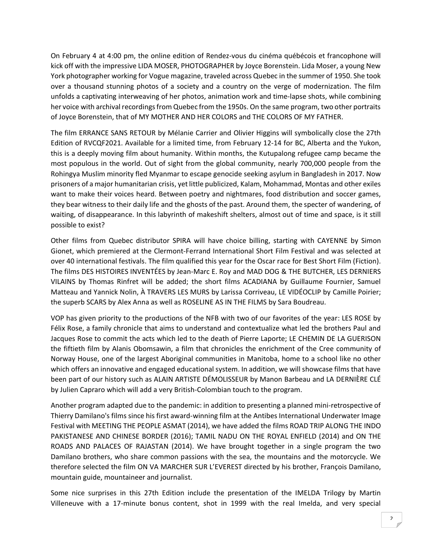On February 4 at 4:00 pm, the online edition of Rendez-vous du cinéma québécois et francophone will kick off with the impressive LIDA MOSER, PHOTOGRAPHER by Joyce Borenstein. Lida Moser, a young New York photographer working for Vogue magazine, traveled across Quebec in the summer of 1950. She took over a thousand stunning photos of a society and a country on the verge of modernization. The film unfolds a captivating interweaving of her photos, animation work and time-lapse shots, while combining her voice with archival recordings from Quebec from the 1950s. On the same program, two other portraits of Joyce Borenstein, that of MY MOTHER AND HER COLORS and THE COLORS OF MY FATHER.

The film ERRANCE SANS RETOUR by Mélanie Carrier and Olivier Higgins will symbolically close the 27th Edition of RVCQF2021. Available for a limited time, from February 12-14 for BC, Alberta and the Yukon, this is a deeply moving film about humanity. Within months, the Kutupalong refugee camp became the most populous in the world. Out of sight from the global community, nearly 700,000 people from the Rohingya Muslim minority fled Myanmar to escape genocide seeking asylum in Bangladesh in 2017. Now prisoners of a major humanitarian crisis, yet little publicized, Kalam, Mohammad, Montas and other exiles want to make their voices heard. Between poetry and nightmares, food distribution and soccer games, they bear witness to their daily life and the ghosts of the past. Around them, the specter of wandering, of waiting, of disappearance. In this labyrinth of makeshift shelters, almost out of time and space, is it still possible to exist?

Other films from Quebec distributor SPIRA will have choice billing, starting with CAYENNE by Simon Gionet, which premiered at the Clermont-Ferrand International Short Film Festival and was selected at over 40 international festivals. The film qualified this year for the Oscar race for Best Short Film (Fiction). The films DES HISTOIRES INVENTÉES by Jean-Marc E. Roy and MAD DOG & THE BUTCHER, LES DERNIERS VILAINS by Thomas Rinfret will be added; the short films ACADIANA by Guillaume Fournier, Samuel Matteau and Yannick Nolin, À TRAVERS LES MURS by Larissa Corriveau, LE VIDÉOCLIP by Camille Poirier; the superb SCARS by Alex Anna as well as ROSELINE AS IN THE FILMS by Sara Boudreau.

VOP has given priority to the productions of the NFB with two of our favorites of the year: LES ROSE by Félix Rose, a family chronicle that aims to understand and contextualize what led the brothers Paul and Jacques Rose to commit the acts which led to the death of Pierre Laporte; LE CHEMIN DE LA GUERISON the fiftieth film by Alanis Obomsawin, a film that chronicles the enrichment of the Cree community of Norway House, one of the largest Aboriginal communities in Manitoba, home to a school like no other which offers an innovative and engaged educational system. In addition, we will showcase films that have been part of our history such as ALAIN ARTISTE DÉMOLISSEUR by Manon Barbeau and LA DERNIÈRE CLÉ by Julien Capraro which will add a very British-Colombian touch to the program.

Another program adapted due to the pandemic: in addition to presenting a planned mini-retrospective of Thierry Damilano's films since his first award-winning film at the Antibes International Underwater Image Festival with MEETING THE PEOPLE ASMAT (2014), we have added the films ROAD TRIP ALONG THE INDO PAKISTANESE AND CHINESE BORDER (2016); TAMIL NADU ON THE ROYAL ENFIELD (2014) and ON THE ROADS AND PALACES OF RAJASTAN (2014). We have brought together in a single program the two Damilano brothers, who share common passions with the sea, the mountains and the motorcycle. We therefore selected the film ON VA MARCHER SUR L'EVEREST directed by his brother, François Damilano, mountain guide, mountaineer and journalist.

Some nice surprises in this 27th Edition include the presentation of the IMELDA Trilogy by Martin Villeneuve with a 17-minute bonus content, shot in 1999 with the real Imelda, and very special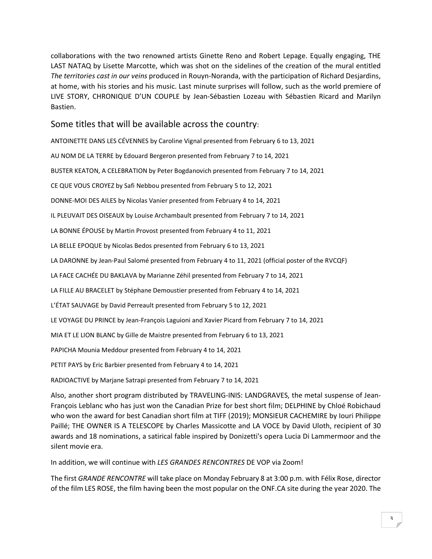collaborations with the two renowned artists Ginette Reno and Robert Lepage. Equally engaging, THE LAST NATAQ by Lisette Marcotte, which was shot on the sidelines of the creation of the mural entitled *The territories cast in our veins* produced in Rouyn-Noranda, with the participation of Richard Desjardins, at home, with his stories and his music. Last minute surprises will follow, such as the world premiere of LIVE STORY, CHRONIQUE D'UN COUPLE by Jean-Sébastien Lozeau with Sébastien Ricard and Marilyn Bastien.

## Some titles that will be available across the country:

ANTOINETTE DANS LES CÉVENNES by Caroline Vignal presented from February 6 to 13, 2021

AU NOM DE LA TERRE by Edouard Bergeron presented from February 7 to 14, 2021

BUSTER KEATON, A CELEBRATION by Peter Bogdanovich presented from February 7 to 14, 2021

CE QUE VOUS CROYEZ by Safi Nebbou presented from February 5 to 12, 2021

DONNE-MOI DES AILES by Nicolas Vanier presented from February 4 to 14, 2021

IL PLEUVAIT DES OISEAUX by Louise Archambault presented from February 7 to 14, 2021

LA BONNE ÉPOUSE by Martin Provost presented from February 4 to 11, 2021

LA BELLE EPOQUE by Nicolas Bedos presented from February 6 to 13, 2021

LA DARONNE by Jean-Paul Salomé presented from February 4 to 11, 2021 (official poster of the RVCQF)

LA FACE CACHÉE DU BAKLAVA by Marianne Zéhil presented from February 7 to 14, 2021

LA FILLE AU BRACELET by Stéphane Demoustier presented from February 4 to 14, 2021

L'ÉTAT SAUVAGE by David Perreault presented from February 5 to 12, 2021

LE VOYAGE DU PRINCE by Jean-François Laguioni and Xavier Picard from February 7 to 14, 2021

MIA ET LE LION BLANC by Gille de Maistre presented from February 6 to 13, 2021

PAPICHA Mounia Meddour presented from February 4 to 14, 2021

PETIT PAYS by Eric Barbier presented from February 4 to 14, 2021

RADIOACTIVE by Marjane Satrapi presented from February 7 to 14, 2021

Also, another short program distributed by TRAVELING-INIS: LANDGRAVES, the metal suspense of Jean-François Leblanc who has just won the Canadian Prize for best short film; DELPHINE by Chloé Robichaud who won the award for best Canadian short film at TIFF (2019); MONSIEUR CACHEMIRE by Iouri Philippe Paillé; THE OWNER IS A TELESCOPE by Charles Massicotte and LA VOCE by David Uloth, recipient of 30 awards and 18 nominations, a satirical fable inspired by Donizetti's opera Lucia Di Lammermoor and the silent movie era.

In addition, we will continue with *LES GRANDES RENCONTRES* DE VOP via Zoom!

The first *GRANDE RENCONTRE* will take place on Monday February 8 at 3:00 p.m. with Félix Rose, director of the film LES ROSE, the film having been the most popular on the ONF.CA site during the year 2020. The